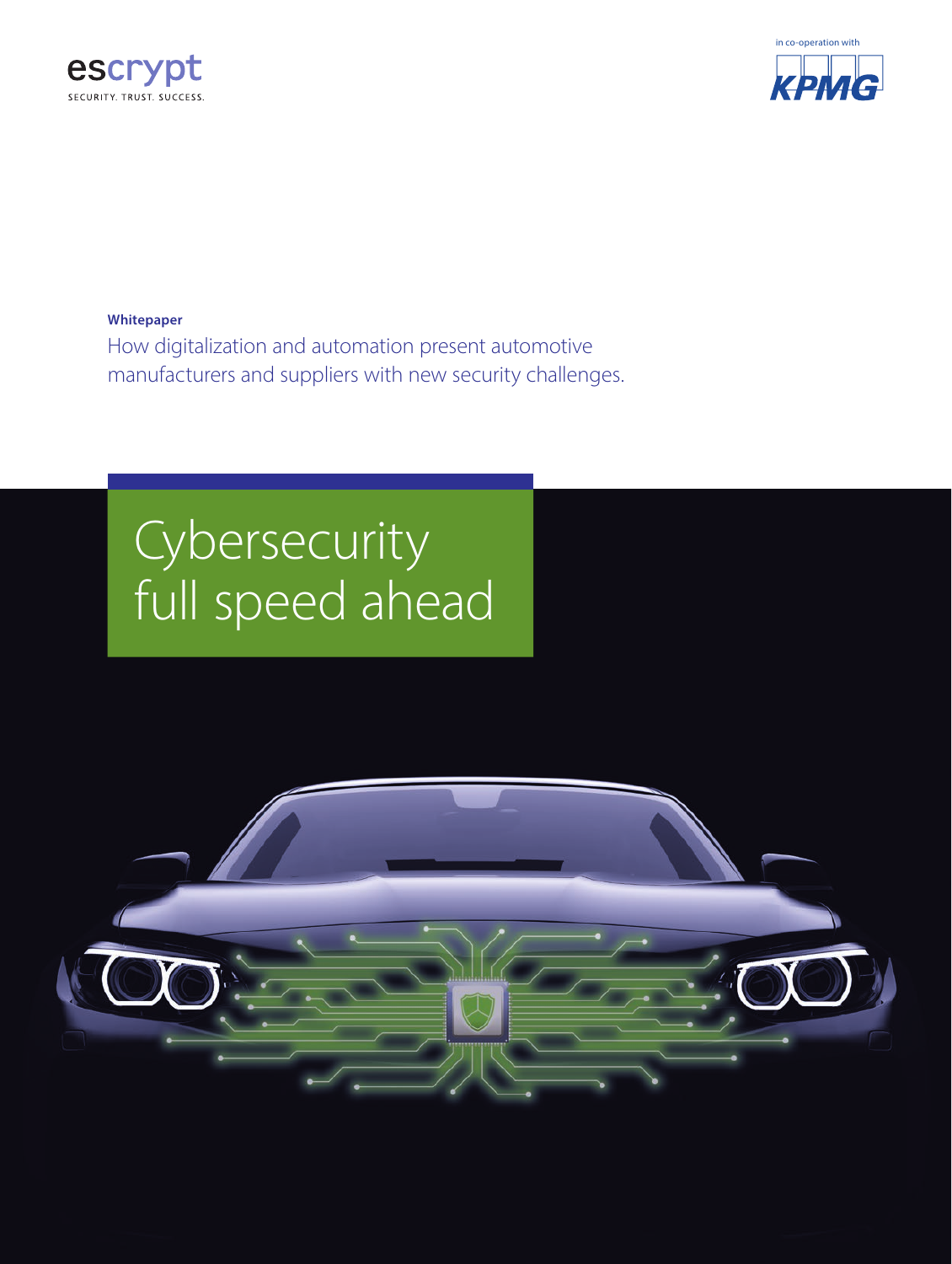



**Whitepaper**

How digitalization and automation present automotive manufacturers and suppliers with new security challenges.

# **Cybersecurity** full speed ahead

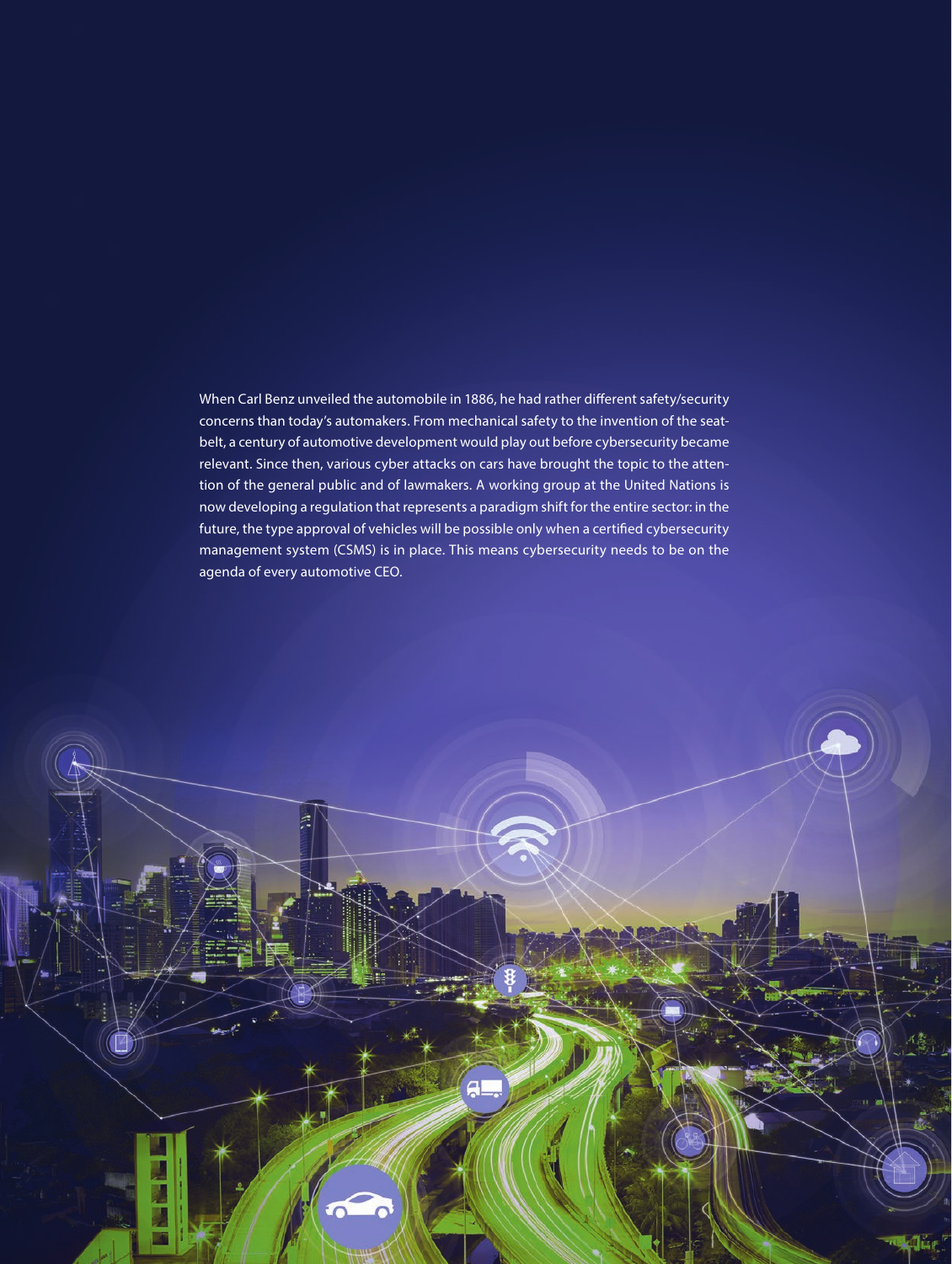When Carl Benz unveiled the automobile in 1886, he had rather different safety/security concerns than today's automakers. From mechanical safety to the invention of the seatbelt, a century of automotive development would play out before cybersecurity became relevant. Since then, various cyber attacks on cars have brought the topic to the attention of the general public and of lawmakers. A working group at the United Nations is now developing a regulation that represents a paradigm shift for the entire sector: in the future, the type approval of vehicles will be possible only when a certified cybersecurity management system (CSMS) is in place. This means cybersecurity needs to be on the agenda of every automotive CEO.

ДI

2 Cybersecurity full speed ahead © ESCRYPT GmbH. All rights reserved.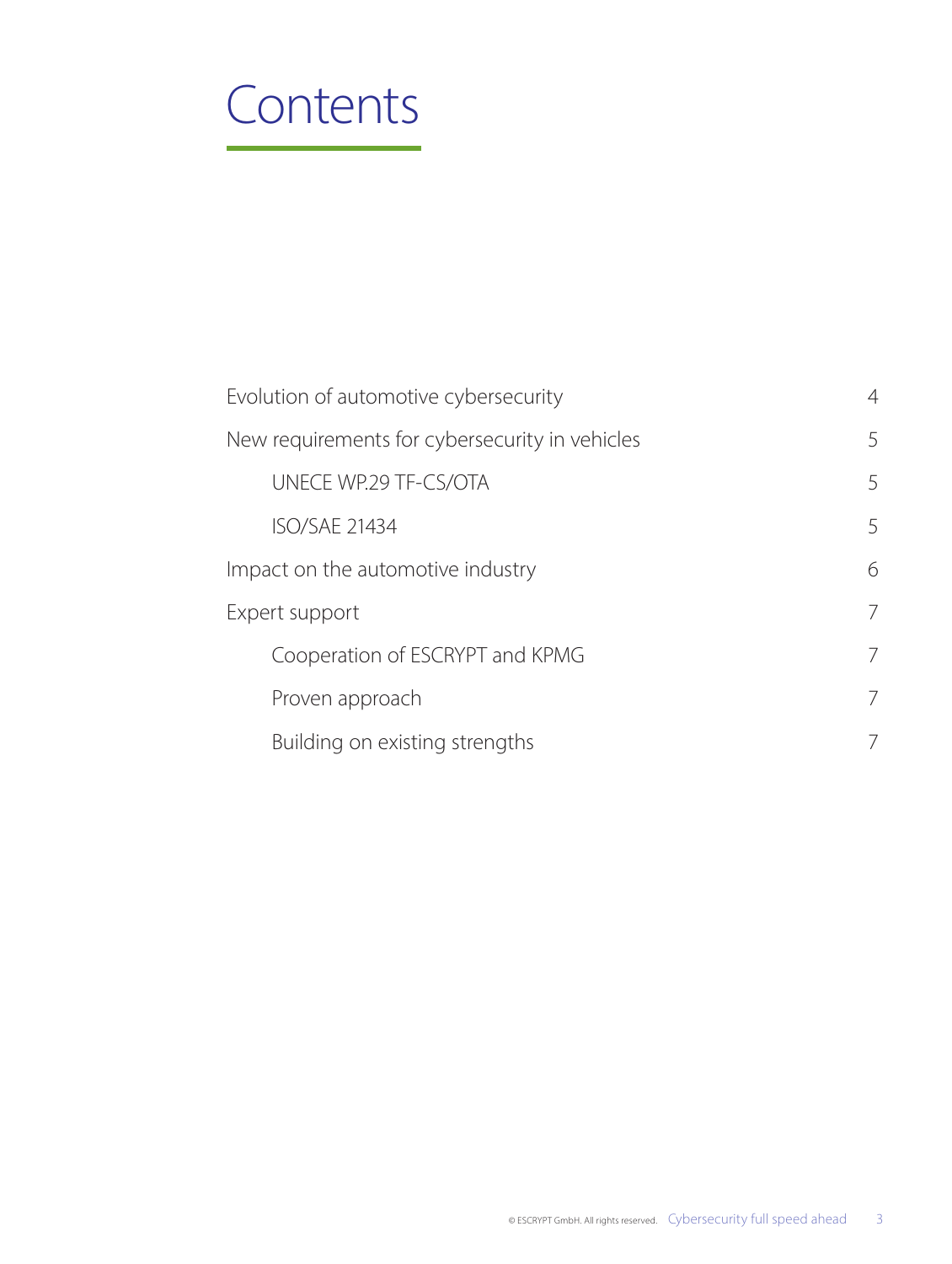### **Contents**

|                                                | Evolution of automotive cybersecurity | $\overline{4}$ |
|------------------------------------------------|---------------------------------------|----------------|
| New requirements for cybersecurity in vehicles |                                       | 5              |
|                                                | UNECE WP.29 TF-CS/OTA                 | 5              |
|                                                | <b>ISO/SAE 21434</b>                  | 5              |
| Impact on the automotive industry              |                                       | 6              |
| Expert support                                 |                                       | 7              |
|                                                | Cooperation of ESCRYPT and KPMG       | $\overline{7}$ |
|                                                | Proven approach                       | 7              |
|                                                | Building on existing strengths        | 7              |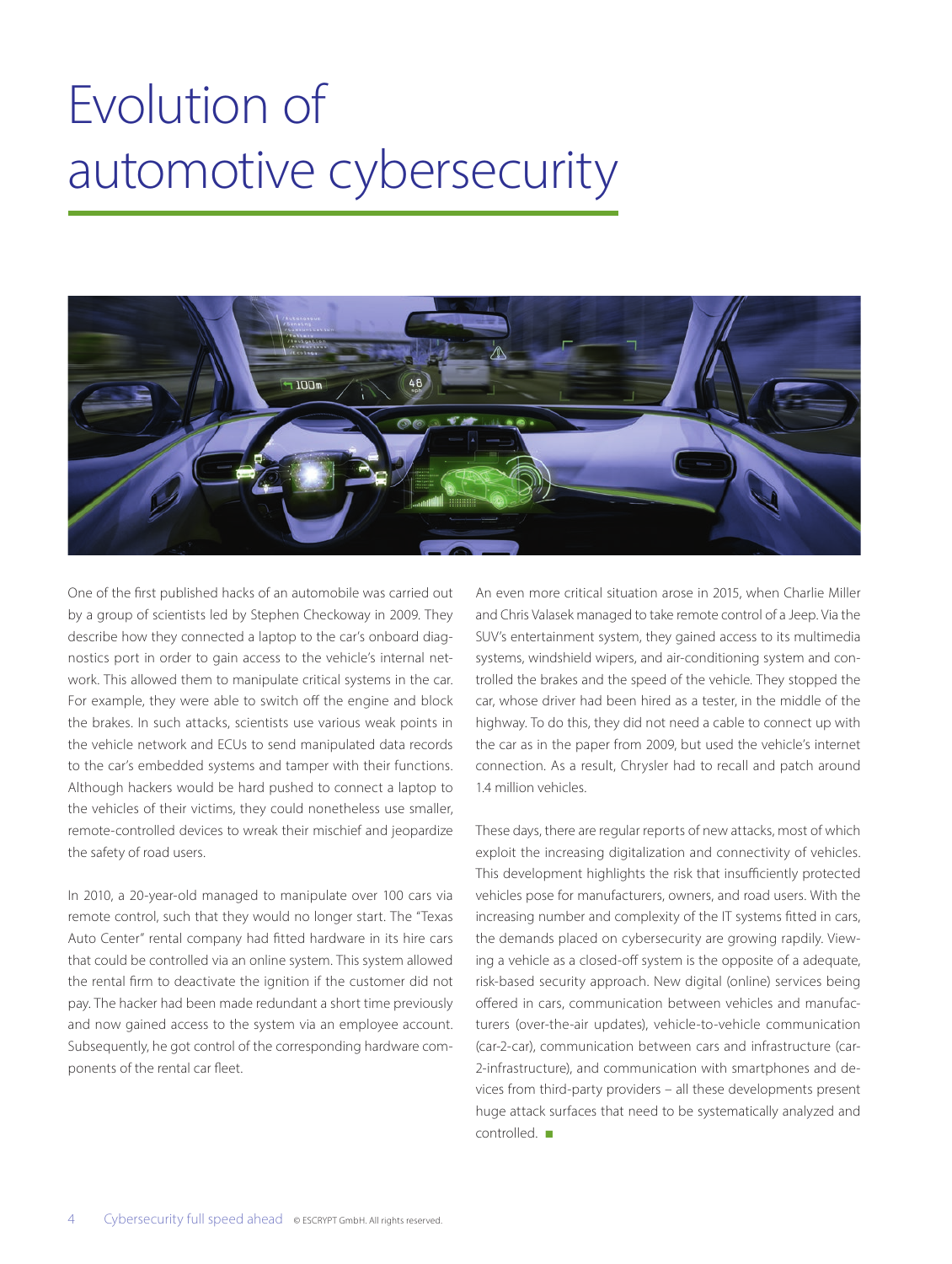# Evolution of automotive cybersecurity



One of the first published hacks of an automobile was carried out by a group of scientists led by Stephen Checkoway in 2009. They describe how they connected a laptop to the car's onboard diagnostics port in order to gain access to the vehicle's internal network. This allowed them to manipulate critical systems in the car. For example, they were able to switch off the engine and block the brakes. In such attacks, scientists use various weak points in the vehicle network and ECUs to send manipulated data records to the car's embedded systems and tamper with their functions. Although hackers would be hard pushed to connect a laptop to the vehicles of their victims, they could nonetheless use smaller, remote-controlled devices to wreak their mischief and jeopardize the safety of road users.

In 2010, a 20-year-old managed to manipulate over 100 cars via remote control, such that they would no longer start. The "Texas Auto Center" rental company had fitted hardware in its hire cars that could be controlled via an online system. This system allowed the rental firm to deactivate the ignition if the customer did not pay. The hacker had been made redundant a short time previously and now gained access to the system via an employee account. Subsequently, he got control of the corresponding hardware components of the rental car fleet.

An even more critical situation arose in 2015, when Charlie Miller and Chris Valasek managed to take remote control of a Jeep. Via the SUV's entertainment system, they gained access to its multimedia systems, windshield wipers, and air-conditioning system and controlled the brakes and the speed of the vehicle. They stopped the car, whose driver had been hired as a tester, in the middle of the highway. To do this, they did not need a cable to connect up with the car as in the paper from 2009, but used the vehicle's internet connection. As a result, Chrysler had to recall and patch around 1.4 million vehicles.

These days, there are regular reports of new attacks, most of which exploit the increasing digitalization and connectivity of vehicles. This development highlights the risk that insufficiently protected vehicles pose for manufacturers, owners, and road users. With the increasing number and complexity of the IT systems fitted in cars, the demands placed on cybersecurity are growing rapdily. Viewing a vehicle as a closed-off system is the opposite of a adequate, risk-based security approach. New digital (online) services being offered in cars, communication between vehicles and manufacturers (over-the-air updates), vehicle-to-vehicle communication (car-2-car), communication between cars and infrastructure (car-2-infrastructure), and communication with smartphones and devices from third-party providers – all these developments present huge attack surfaces that need to be systematically analyzed and controlled. ■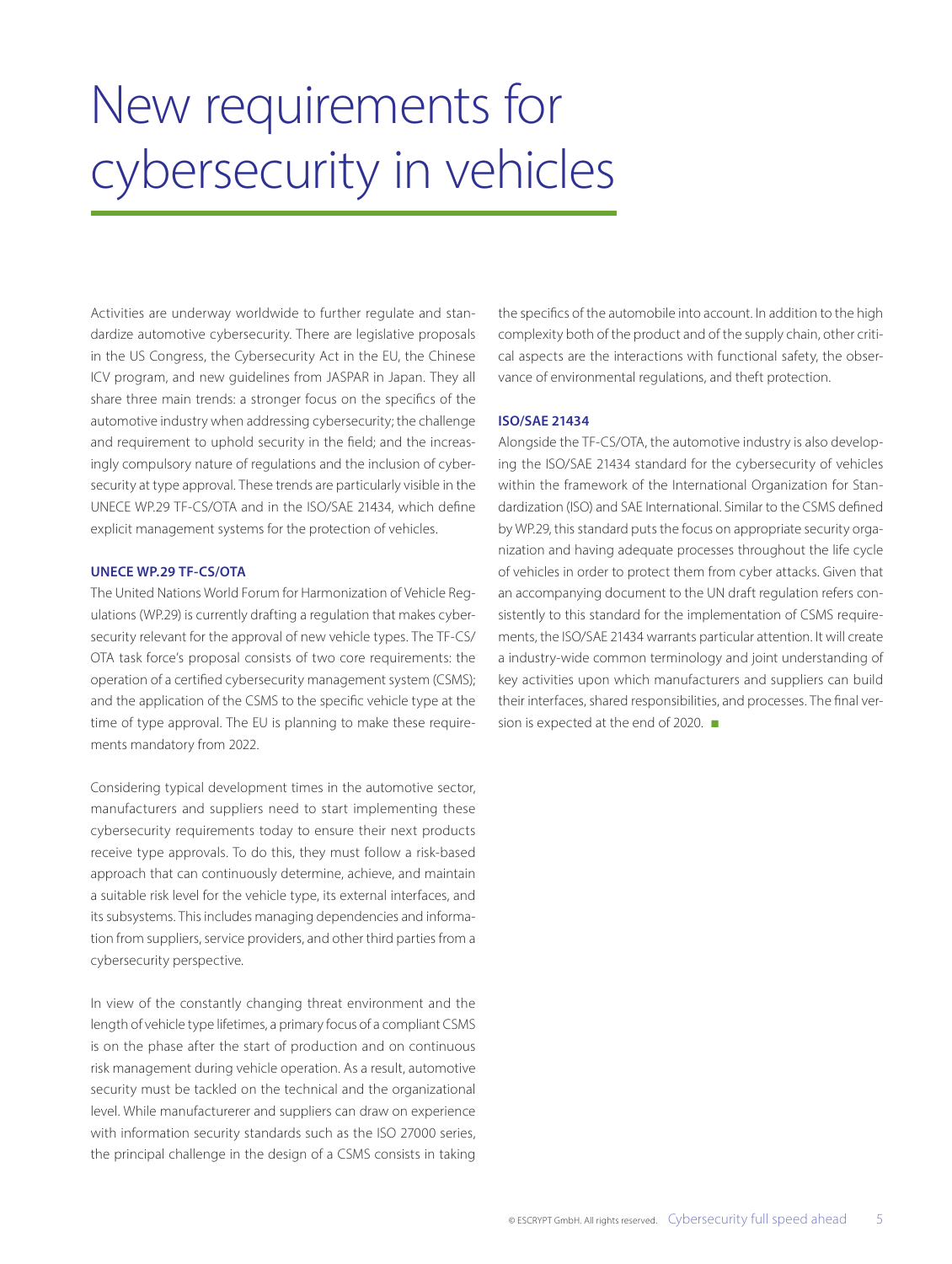# New requirements for cybersecurity in vehicles

Activities are underway worldwide to further regulate and standardize automotive cybersecurity. There are legislative proposals in the US Congress, the Cybersecurity Act in the EU, the Chinese ICV program, and new guidelines from JASPAR in Japan. They all share three main trends: a stronger focus on the specifics of the automotive industry when addressing cybersecurity; the challenge and requirement to uphold security in the field; and the increasingly compulsory nature of regulations and the inclusion of cybersecurity at type approval. These trends are particularly visible in the UNECE WP.29 TF-CS/OTA and in the ISO/SAE 21434, which define explicit management systems for the protection of vehicles.

#### **UNECE WP.29 TF-CS/OTA**

The United Nations World Forum for Harmonization of Vehicle Regulations (WP.29) is currently drafting a regulation that makes cybersecurity relevant for the approval of new vehicle types. The TF-CS/ OTA task force's proposal consists of two core requirements: the operation of a certified cybersecurity management system (CSMS); and the application of the CSMS to the specific vehicle type at the time of type approval. The EU is planning to make these requirements mandatory from 2022.

Considering typical development times in the automotive sector, manufacturers and suppliers need to start implementing these cybersecurity requirements today to ensure their next products receive type approvals. To do this, they must follow a risk-based approach that can continuously determine, achieve, and maintain a suitable risk level for the vehicle type, its external interfaces, and its subsystems. This includes managing dependencies and information from suppliers, service providers, and other third parties from a cybersecurity perspective.

In view of the constantly changing threat environment and the length of vehicle type lifetimes, a primary focus of a compliant CSMS is on the phase after the start of production and on continuous risk management during vehicle operation. As a result, automotive security must be tackled on the technical and the organizational level. While manufacturerer and suppliers can draw on experience with information security standards such as the ISO 27000 series, the principal challenge in the design of a CSMS consists in taking the specifics of the automobile into account. In addition to the high complexity both of the product and of the supply chain, other critical aspects are the interactions with functional safety, the observance of environmental regulations, and theft protection.

#### **ISO/SAE 21434**

Alongside the TF-CS/OTA, the automotive industry is also developing the ISO/SAE 21434 standard for the cybersecurity of vehicles within the framework of the International Organization for Standardization (ISO) and SAE International. Similar to the CSMS defined by WP.29, this standard puts the focus on appropriate security organization and having adequate processes throughout the life cycle of vehicles in order to protect them from cyber attacks. Given that an accompanying document to the UN draft regulation refers consistently to this standard for the implementation of CSMS requirements, the ISO/SAE 21434 warrants particular attention. It will create a industry-wide common terminology and joint understanding of key activities upon which manufacturers and suppliers can build their interfaces, shared responsibilities, and processes. The final version is expected at the end of 2020. ■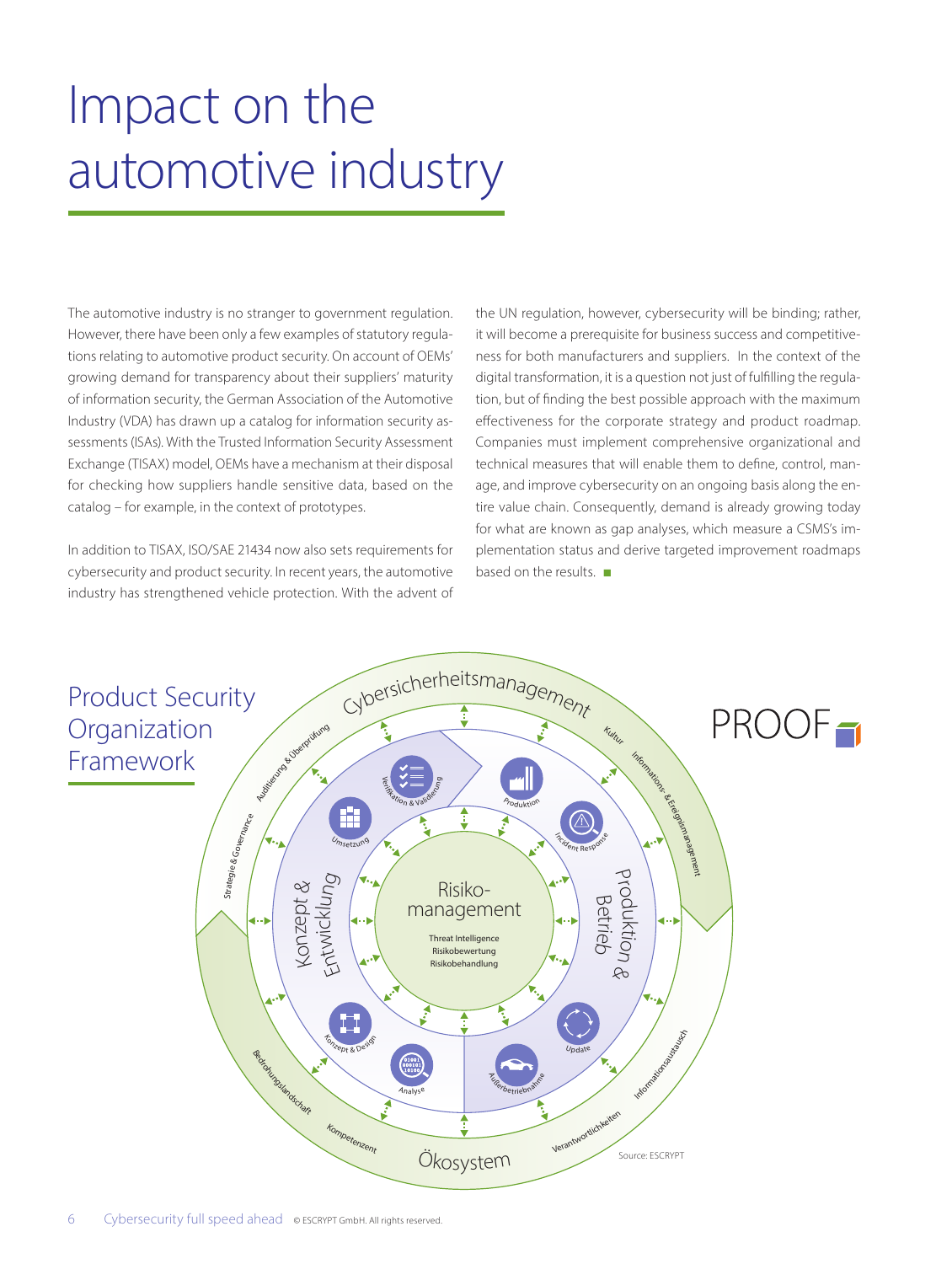# Impact on the automotive industry

The automotive industry is no stranger to government regulation. However, there have been only a few examples of statutory regulations relating to automotive product security. On account of OEMs' growing demand for transparency about their suppliers' maturity of information security, the German Association of the Automotive Industry (VDA) has drawn up a catalog for information security assessments (ISAs). With the Trusted Information Security Assessment Exchange (TISAX) model, OEMs have a mechanism at their disposal for checking how suppliers handle sensitive data, based on the catalog – for example, in the context of prototypes.

In addition to TISAX, ISO/SAE 21434 now also sets requirements for cybersecurity and product security. In recent years, the automotive industry has strengthened vehicle protection. With the advent of the UN regulation, however, cybersecurity will be binding; rather, it will become a prerequisite for business success and competitiveness for both manufacturers and suppliers. In the context of the digital transformation, it is a question not just of fulfilling the regulation, but of finding the best possible approach with the maximum effectiveness for the corporate strategy and product roadmap. Companies must implement comprehensive organizational and technical measures that will enable them to define, control, manage, and improve cybersecurity on an ongoing basis along the entire value chain. Consequently, demand is already growing today for what are known as gap analyses, which measure a CSMS's implementation status and derive targeted improvement roadmaps based on the results. ■

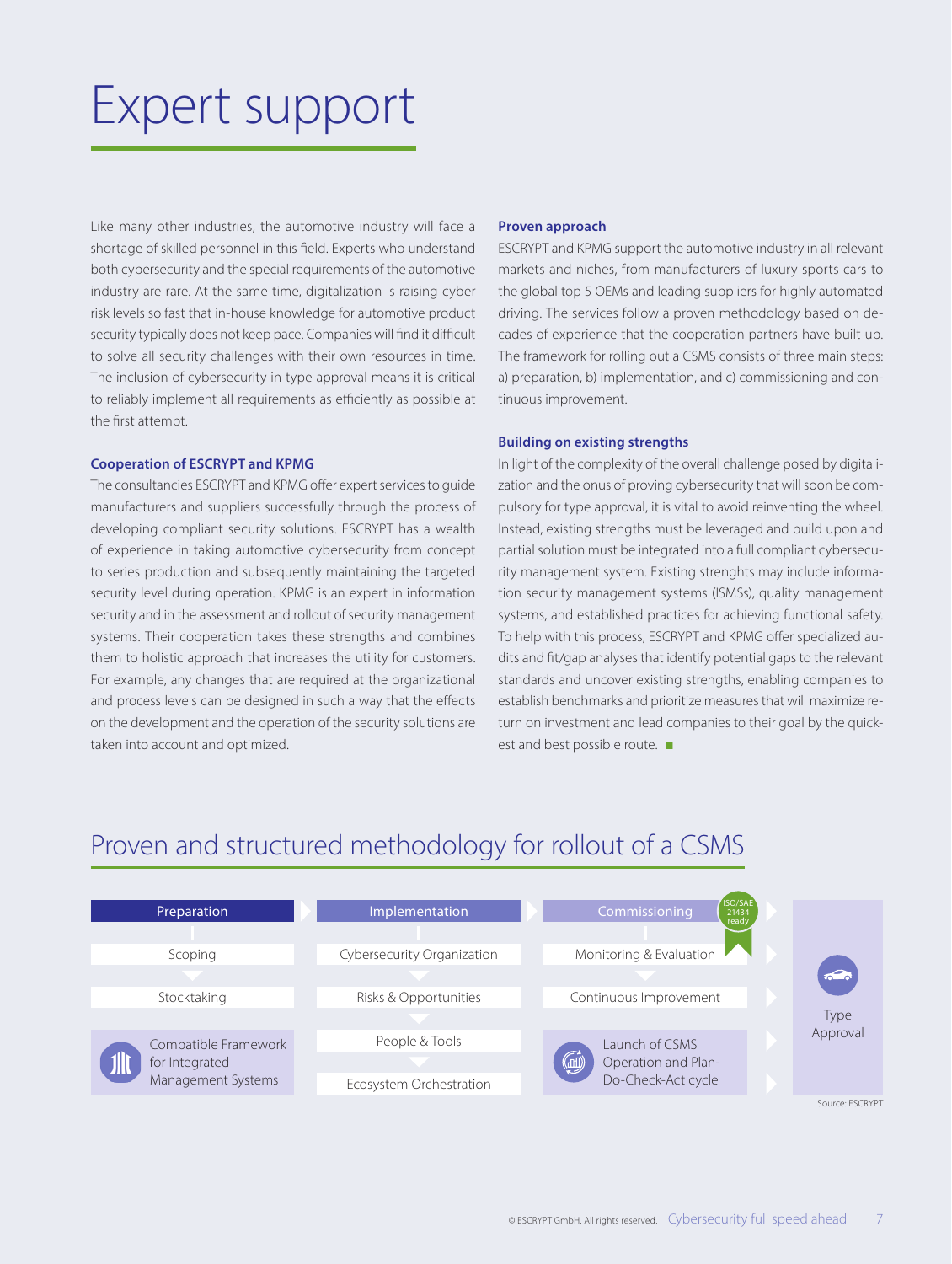### Expert support

Like many other industries, the automotive industry will face a shortage of skilled personnel in this field. Experts who understand both cybersecurity and the special requirements of the automotive industry are rare. At the same time, digitalization is raising cyber risk levels so fast that in-house knowledge for automotive product security typically does not keep pace. Companies will find it difficult to solve all security challenges with their own resources in time. The inclusion of cybersecurity in type approval means it is critical to reliably implement all requirements as efficiently as possible at the first attempt.

#### **Cooperation of ESCRYPT and KPMG**

The consultancies ESCRYPT and KPMG offer expert services to guide manufacturers and suppliers successfully through the process of developing compliant security solutions. ESCRYPT has a wealth of experience in taking automotive cybersecurity from concept to series production and subsequently maintaining the targeted security level during operation. KPMG is an expert in information security and in the assessment and rollout of security management systems. Their cooperation takes these strengths and combines them to holistic approach that increases the utility for customers. For example, any changes that are required at the organizational and process levels can be designed in such a way that the effects on the development and the operation of the security solutions are taken into account and optimized.

#### **Proven approach**

ESCRYPT and KPMG support the automotive industry in all relevant markets and niches, from manufacturers of luxury sports cars to the global top 5 OEMs and leading suppliers for highly automated driving. The services follow a proven methodology based on decades of experience that the cooperation partners have built up. The framework for rolling out a CSMS consists of three main steps: a) preparation, b) implementation, and c) commissioning and continuous improvement.

#### **Building on existing strengths**

In light of the complexity of the overall challenge posed by digitalization and the onus of proving cybersecurity that will soon be compulsory for type approval, it is vital to avoid reinventing the wheel. Instead, existing strengths must be leveraged and build upon and partial solution must be integrated into a full compliant cybersecurity management system. Existing strenghts may include information security management systems (ISMSs), quality management systems, and established practices for achieving functional safety. To help with this process, ESCRYPT and KPMG offer specialized audits and fit/gap analyses that identify potential gaps to the relevant standards and uncover existing strengths, enabling companies to establish benchmarks and prioritize measures that will maximize return on investment and lead companies to their goal by the quickest and best possible route. ■

### Proven and structured methodology for rollout of a CSMS